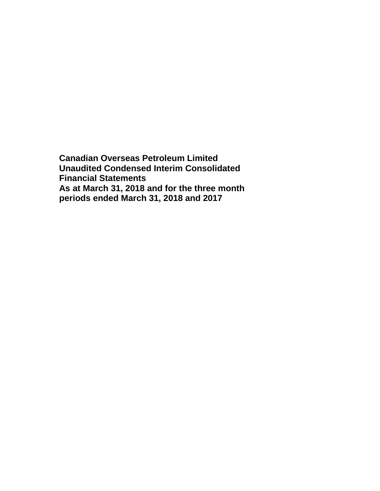**Canadian Overseas Petroleum Limited Unaudited Condensed Interim Consolidated Financial Statements As at March 31, 2018 and for the three month periods ended March 31, 2018 and 2017**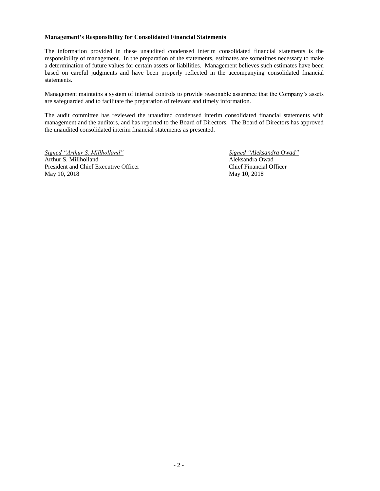#### **Management's Responsibility for Consolidated Financial Statements**

The information provided in these unaudited condensed interim consolidated financial statements is the responsibility of management. In the preparation of the statements, estimates are sometimes necessary to make a determination of future values for certain assets or liabilities. Management believes such estimates have been based on careful judgments and have been properly reflected in the accompanying consolidated financial statements.

Management maintains a system of internal controls to provide reasonable assurance that the Company's assets are safeguarded and to facilitate the preparation of relevant and timely information.

The audit committee has reviewed the unaudited condensed interim consolidated financial statements with management and the auditors, and has reported to the Board of Directors. The Board of Directors has approved the unaudited consolidated interim financial statements as presented.

*Signed "Arthur S. Millholland" Signed "Aleksandra Owad"* Arthur S. Millholland Aleksandra Owad President and Chief Executive Officer Chief Financial Officer May 10, 2018 May 10, 2018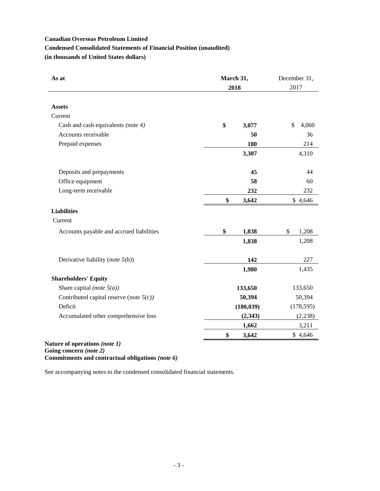# **Condensed Consolidated Statements of Financial Position (unaudited)**

**(in thousands of United States dollars)**

| As at                                      | March 31,<br>2018 |             |
|--------------------------------------------|-------------------|-------------|
| <b>Assets</b>                              |                   |             |
| Current                                    |                   |             |
| Cash and cash equivalents (note 4)         | \$<br>3,077       | \$<br>4,060 |
| Accounts receivable                        | 50                | 36          |
| Prepaid expenses                           | 180               | 214         |
|                                            | 3,307             | 4,310       |
| Deposits and prepayments                   | 45                | 44          |
| Office equipment                           | 58                | 60          |
| Long-term receivable                       | 232               | 232         |
|                                            | \$<br>3,642       | \$4,646     |
| <b>Liabilities</b>                         |                   |             |
| Current                                    |                   |             |
| Accounts payable and accrued liabilities   | \$<br>1,838       | \$<br>1,208 |
|                                            | 1,838             | 1,208       |
| Derivative liability (note $5(b)$ )        | 142               | 227         |
|                                            | 1,980             | 1,435       |
| <b>Shareholders' Equity</b>                |                   |             |
| Share capital (note $5(a)$ )               | 133,650           | 133,650     |
| Contributed capital reserve (note $5(c)$ ) | 50,394            | 50,394      |
| Deficit                                    | (180, 039)        | (178, 595)  |
| Accumulated other comprehensive loss       | (2, 343)          | (2, 238)    |
|                                            | 1,662             | 3,211       |
|                                            | \$<br>3,642       | \$4,646     |

**Going concern** *(note 2)* **Commitments and contractual obligations** *(note 6)*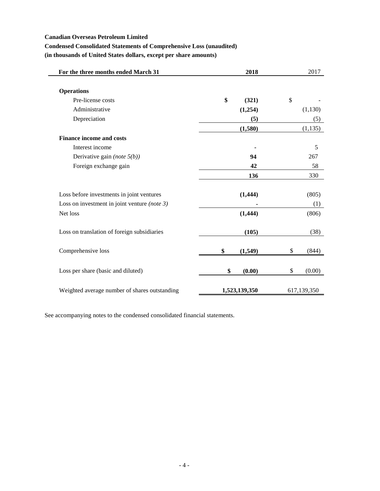# **Condensed Consolidated Statements of Comprehensive Loss (unaudited)**

**(in thousands of United States dollars, except per share amounts)**

| 2018          | 2017          |
|---------------|---------------|
|               |               |
| \$<br>(321)   | \$            |
| (1,254)       | (1,130)       |
| (5)           | (5)           |
| (1,580)       | (1, 135)      |
|               |               |
|               | 5             |
| 94            | 267           |
| 42            | 58            |
| 136           | 330           |
| (1, 444)      | (805)         |
|               | (1)           |
| (1, 444)      | (806)         |
| (105)         | (38)          |
| \$<br>(1,549) | \$<br>(844)   |
| \$<br>(0.00)  | \$<br>(0.00)  |
|               | 617,139,350   |
|               | 1,523,139,350 |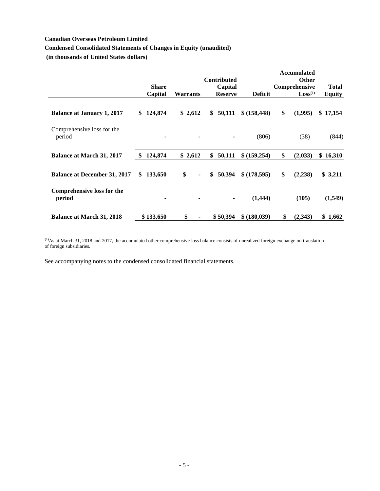# **Condensed Consolidated Statements of Changes in Equity (unaudited)**

**(in thousands of United States dollars)**

|                                             |      |              |                 |                |                               |                | <b>Accumulated</b>            |               |
|---------------------------------------------|------|--------------|-----------------|----------------|-------------------------------|----------------|-------------------------------|---------------|
|                                             |      | <b>Share</b> |                 |                | <b>Contributed</b><br>Capital |                | <b>Other</b><br>Comprehensive | <b>Total</b>  |
|                                             |      | Capital      | <b>Warrants</b> |                | <b>Reserve</b>                | <b>Deficit</b> | Loss <sup>(1)</sup>           | <b>Equity</b> |
| <b>Balance at January 1, 2017</b>           | \$.  | 124,874      | \$2,612         |                | \$<br>50,111                  | \$ (158, 448)  | \$<br>(1,995)                 | \$17,154      |
| Comprehensive loss for the<br>period        |      | -            |                 |                |                               | (806)          | (38)                          | (844)         |
| <b>Balance at March 31, 2017</b>            | - \$ | 124,874      | \$2,612         |                | \$<br>50,111                  | \$ (159,254)   | \$<br>(2,033)                 | 16,310<br>\$  |
| <b>Balance at December 31, 2017</b>         | \$   | 133,650      | \$              | $\blacksquare$ | \$<br>50,394                  | \$ (178,595)   | \$<br>(2,238)                 | \$3,211       |
| <b>Comprehensive loss for the</b><br>period |      | -            |                 |                | ۰                             | (1,444)        | (105)                         | (1,549)       |
| <b>Balance at March 31, 2018</b>            |      | \$133,650    | \$              |                | \$50,394                      | \$ (180,039)   | \$<br>(2,343)                 | \$1,662       |

**(1)**As at March 31, 2018 and 2017, the accumulated other comprehensive loss balance consists of unrealized foreign exchange on translation of foreign subsidiaries.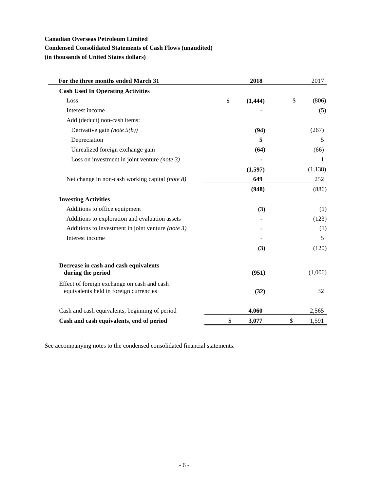# **Condensed Consolidated Statements of Cash Flows (unaudited)**

**(in thousands of United States dollars)**

| For the three months ended March 31                                                   | 2018           | 2017         |
|---------------------------------------------------------------------------------------|----------------|--------------|
| <b>Cash Used In Operating Activities</b>                                              |                |              |
| Loss                                                                                  | \$<br>(1, 444) | \$<br>(806)  |
| Interest income                                                                       |                | (5)          |
| Add (deduct) non-cash items:                                                          |                |              |
| Derivative gain (note $5(b)$ )                                                        | (94)           | (267)        |
| Depreciation                                                                          | 5              | 5            |
| Unrealized foreign exchange gain                                                      | (64)           | (66)         |
| Loss on investment in joint venture (note $3$ )                                       |                | $\mathbf{1}$ |
|                                                                                       | (1,597)        | (1, 138)     |
| Net change in non-cash working capital (note 8)                                       | 649            | 252          |
|                                                                                       | (948)          | (886)        |
| <b>Investing Activities</b>                                                           |                |              |
| Additions to office equipment                                                         | (3)            | (1)          |
| Additions to exploration and evaluation assets                                        |                | (123)        |
| Additions to investment in joint venture (note $3$ )                                  |                | (1)          |
| Interest income                                                                       |                | 5            |
|                                                                                       | (3)            | (120)        |
| Decrease in cash and cash equivalents<br>during the period                            | (951)          | (1,006)      |
| Effect of foreign exchange on cash and cash<br>equivalents held in foreign currencies | (32)           | 32           |
| Cash and cash equivalents, beginning of period                                        | 4,060          | 2,565        |
| Cash and cash equivalents, end of period                                              | \$<br>3,077    | \$<br>1,591  |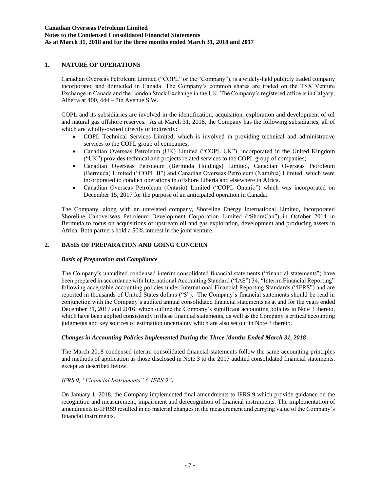# **1. NATURE OF OPERATIONS**

Canadian Overseas Petroleum Limited ("COPL" or the "Company"), is a widely-held publicly traded company incorporated and domiciled in Canada. The Company's common shares are traded on the TSX Venture Exchange in Canada and the London Stock Exchange in the UK. The Company's registered office is in Calgary, Alberta at 400, 444 – 7th Avenue S.W.

COPL and its subsidiaries are involved in the identification, acquisition, exploration and development of oil and natural gas offshore reserves. As at March 31, 2018, the Company has the following subsidiaries, all of which are wholly-owned directly or indirectly:

- COPL Technical Services Limited, which is involved in providing technical and administrative services to the COPL group of companies;
- Canadian Overseas Petroleum (UK) Limited ("COPL UK"), incorporated in the United Kingdom ("UK") provides technical and projects related services to the COPL group of companies;
- Canadian Overseas Petroleum (Bermuda Holdings) Limited, Canadian Overseas Petroleum (Bermuda) Limited ("COPL B") and Canadian Overseas Petroleum (Namibia) Limited, which were incorporated to conduct operations in offshore Liberia and elsewhere in Africa.
- Canadian Overseas Petroleum (Ontario) Limited ("COPL Ontario") which was incorporated on December 15, 2017 for the purpose of an anticipated operation in Canada.

The Company, along with an unrelated company, Shoreline Energy International Limited, incorporated Shoreline Canoverseas Petroleum Development Corporation Limited ("ShoreCan") in October 2014 in Bermuda to focus on acquisitions of upstream oil and gas exploration, development and producing assets in Africa. Both partners hold a 50% interest in the joint venture.

### **2. BASIS OF PREPARATION AND GOING CONCERN**

#### *Basis of Preparation and Compliance*

The Company's unaudited condensed interim consolidated financial statements ("financial statements") have been prepared in accordance with International Accounting Standard ("IAS") 34, "Interim Financial Reporting" following acceptable accounting policies under International Financial Reporting Standards ("IFRS") and are reported in thousands of United States dollars ("\$"). The Company's financial statements should be read in conjunction with the Company's audited annual consolidated financial statements as at and for the years ended December 31, 2017 and 2016, which outline the Company's significant accounting policies in Note 3 thereto, which have been applied consistently in these financial statements, as well as the Company's critical accounting judgments and key sources of estimation uncertainty which are also set out in Note 3 thereto.

#### *Changes in Accounting Policies Implemented During the Three Months Ended March 31, 2018*

The March 2018 condensed interim consolidated financial statements follow the same accounting principles and methods of application as those disclosed in Note 3 to the 2017 audited consolidated financial statements, except as described below.

#### *IFRS 9, "Financial Instruments" ("IFRS 9")*

On January 1, 2018, the Company implemented final amendments to IFRS 9 which provide guidance on the recognition and measurement, impairment and derecognition of financial instruments. The implementation of amendments to IFRS9 resulted in no material changes in the measurement and carrying value of the Company's financial instruments.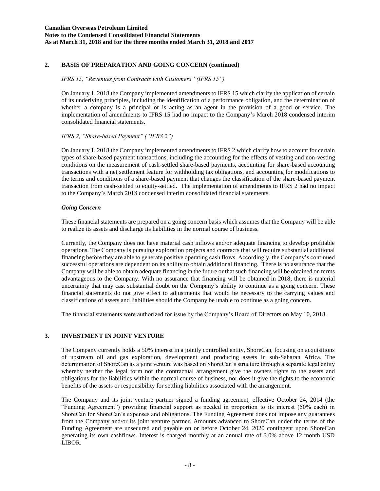# **2. BASIS OF PREPARATION AND GOING CONCERN (continued)**

### *IFRS 15, "Revenues from Contracts with Customers" (IFRS 15")*

On January 1, 2018 the Company implemented amendments to IFRS 15 which clarify the application of certain of its underlying principles, including the identification of a performance obligation, and the determination of whether a company is a principal or is acting as an agent in the provision of a good or service. The implementation of amendments to IFRS 15 had no impact to the Company's March 2018 condensed interim consolidated financial statements.

### *IFRS 2, "Share-based Payment" ("IFRS 2")*

On January 1, 2018 the Company implemented amendments to IFRS 2 which clarify how to account for certain types of share-based payment transactions, including the accounting for the effects of vesting and non-vesting conditions on the measurement of cash-settled share-based payments, accounting for share-based accounting transactions with a net settlement feature for withholding tax obligations, and accounting for modifications to the terms and conditions of a share-based payment that changes the classification of the share-based payment transaction from cash-settled to equity-settled. The implementation of amendments to IFRS 2 had no impact to the Company's March 2018 condensed interim consolidated financial statements.

#### *Going Concern*

These financial statements are prepared on a going concern basis which assumes that the Company will be able to realize its assets and discharge its liabilities in the normal course of business.

Currently, the Company does not have material cash inflows and/or adequate financing to develop profitable operations. The Company is pursuing exploration projects and contracts that will require substantial additional financing before they are able to generate positive operating cash flows. Accordingly, the Company's continued successful operations are dependent on its ability to obtain additional financing. There is no assurance that the Company will be able to obtain adequate financing in the future or that such financing will be obtained on terms advantageous to the Company. With no assurance that financing will be obtained in 2018, there is material uncertainty that may cast substantial doubt on the Company's ability to continue as a going concern. These financial statements do not give effect to adjustments that would be necessary to the carrying values and classifications of assets and liabilities should the Company be unable to continue as a going concern.

The financial statements were authorized for issue by the Company's Board of Directors on May 10, 2018.

### **3. INVESTMENT IN JOINT VENTURE**

The Company currently holds a 50% interest in a jointly controlled entity, ShoreCan, focusing on acquisitions of upstream oil and gas exploration, development and producing assets in sub-Saharan Africa. The determination of ShoreCan as a joint venture was based on ShoreCan's structure through a separate legal entity whereby neither the legal form nor the contractual arrangement give the owners rights to the assets and obligations for the liabilities within the normal course of business, nor does it give the rights to the economic benefits of the assets or responsibility for settling liabilities associated with the arrangement.

The Company and its joint venture partner signed a funding agreement, effective October 24, 2014 (the "Funding Agreement") providing financial support as needed in proportion to its interest (50% each) in ShoreCan for ShoreCan's expenses and obligations. The Funding Agreement does not impose any guarantees from the Company and/or its joint venture partner. Amounts advanced to ShoreCan under the terms of the Funding Agreement are unsecured and payable on or before October 24, 2020 contingent upon ShoreCan generating its own cashflows. Interest is charged monthly at an annual rate of 3.0% above 12 month USD LIBOR.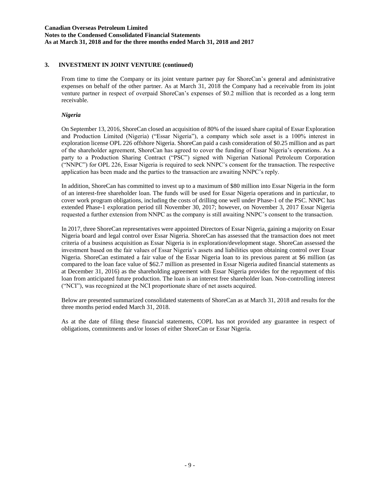### **3. INVESTMENT IN JOINT VENTURE (continued)**

From time to time the Company or its joint venture partner pay for ShoreCan's general and administrative expenses on behalf of the other partner. As at March 31, 2018 the Company had a receivable from its joint venture partner in respect of overpaid ShoreCan's expenses of \$0.2 million that is recorded as a long term receivable.

#### *Nigeria*

On September 13, 2016, ShoreCan closed an acquisition of 80% of the issued share capital of Essar Exploration and Production Limited (Nigeria) ("Essar Nigeria"), a company which sole asset is a 100% interest in exploration license OPL 226 offshore Nigeria. ShoreCan paid a cash consideration of \$0.25 million and as part of the shareholder agreement, ShoreCan has agreed to cover the funding of Essar Nigeria's operations. As a party to a Production Sharing Contract ("PSC") signed with Nigerian National Petroleum Corporation ("NNPC") for OPL 226, Essar Nigeria is required to seek NNPC's consent for the transaction. The respective application has been made and the parties to the transaction are awaiting NNPC's reply.

In addition, ShoreCan has committed to invest up to a maximum of \$80 million into Essar Nigeria in the form of an interest-free shareholder loan. The funds will be used for Essar Nigeria operations and in particular, to cover work program obligations, including the costs of drilling one well under Phase-1 of the PSC. NNPC has extended Phase-1 exploration period till November 30, 2017; however, on November 3, 2017 Essar Nigeria requested a further extension from NNPC as the company is still awaiting NNPC's consent to the transaction.

In 2017, three ShoreCan representatives were appointed Directors of Essar Nigeria, gaining a majority on Essar Nigeria board and legal control over Essar Nigeria. ShoreCan has assessed that the transaction does not meet criteria of a business acquisition as Essar Nigeria is in exploration/development stage. ShoreCan assessed the investment based on the fair values of Essar Nigeria's assets and liabilities upon obtaining control over Essar Nigeria. ShoreCan estimated a fair value of the Essar Nigeria loan to its previous parent at \$6 million (as compared to the loan face value of \$62.7 million as presented in Essar Nigeria audited financial statements as at December 31, 2016) as the shareholding agreement with Essar Nigeria provides for the repayment of this loan from anticipated future production. The loan is an interest free shareholder loan. Non-controlling interest ("NCI"), was recognized at the NCI proportionate share of net assets acquired.

Below are presented summarized consolidated statements of ShoreCan as at March 31, 2018 and results for the three months period ended March 31, 2018.

As at the date of filing these financial statements, COPL has not provided any guarantee in respect of obligations, commitments and/or losses of either ShoreCan or Essar Nigeria.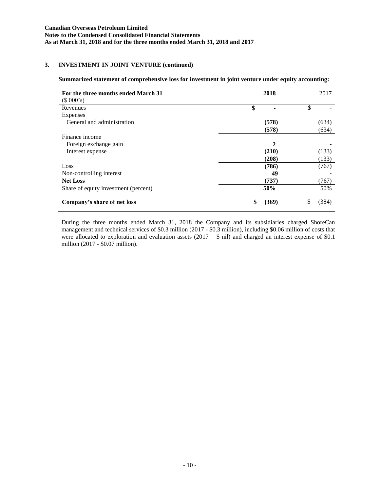# **3. INVESTMENT IN JOINT VENTURE (continued)**

#### **Summarized statement of comprehensive loss for investment in joint venture under equity accounting:**

| For the three months ended March 31<br>(\$000's) | 2018        | 2017        |
|--------------------------------------------------|-------------|-------------|
| Revenues                                         | \$          | \$          |
| Expenses                                         |             |             |
| General and administration                       | (578)       | (634)       |
|                                                  | (578)       | (634)       |
| Finance income                                   |             |             |
| Foreign exchange gain                            | 2           |             |
| Interest expense                                 | (210)       | (133)       |
|                                                  | (208)       | (133)       |
| Loss                                             | (786)       | (767)       |
| Non-controlling interest                         | 49          |             |
| <b>Net Loss</b>                                  | (737)       | (767)       |
| Share of equity investment (percent)             | 50%         | 50%         |
| Company's share of net loss                      | \$<br>(369) | \$<br>(384) |

During the three months ended March 31, 2018 the Company and its subsidiaries charged ShoreCan management and technical services of \$0.3 million (2017 - \$0.3 million), including \$0.06 million of costs that were allocated to exploration and evaluation assets  $(2017 - $$  nil) and charged an interest expense of \$0.1 million (2017 - \$0.07 million).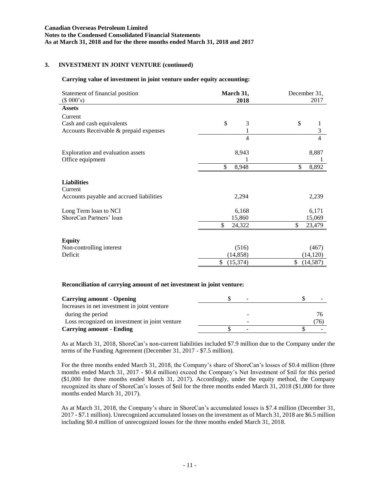# **3. INVESTMENT IN JOINT VENTURE (continued)**

# **Carrying value of investment in joint venture under equity accounting:**

| Statement of financial position<br>(\$000's)                                | March 31,<br>2018                     | December 31,<br>2017                  |  |  |
|-----------------------------------------------------------------------------|---------------------------------------|---------------------------------------|--|--|
| <b>Assets</b>                                                               |                                       |                                       |  |  |
| Current                                                                     |                                       |                                       |  |  |
| Cash and cash equivalents                                                   | \$<br>3                               | \$<br>$\frac{1}{3}$                   |  |  |
| Accounts Receivable & prepaid expenses                                      | 1                                     |                                       |  |  |
|                                                                             | 4                                     | $\overline{4}$                        |  |  |
| Exploration and evaluation assets                                           | 8,943                                 | 8,887                                 |  |  |
| Office equipment                                                            | 1                                     |                                       |  |  |
|                                                                             | \$<br>8,948                           | \$<br>8,892                           |  |  |
| <b>Liabilities</b><br>Current<br>Accounts payable and accrued liabilities   | 2,294                                 | 2,239                                 |  |  |
| Long Term loan to NCI                                                       | 6,168                                 | 6,171                                 |  |  |
| ShoreCan Partners' loan                                                     | 15,860                                | 15,069                                |  |  |
|                                                                             | \$<br>24,322                          | \$<br>23,479                          |  |  |
| <b>Equity</b><br>Non-controlling interest<br>Deficit                        | (516)<br>(14, 858)<br>\$<br>(15, 374) | (467)<br>(14, 120)<br>\$<br>(14, 587) |  |  |
| Danangiliation, of committee and annot affect increatment in initial month. |                                       |                                       |  |  |

#### **Reconciliation of carrying amount of net investment in joint venture:**

| <b>Carrying amount - Opening</b>               | -               |    |
|------------------------------------------------|-----------------|----|
| Increases in net investment in joint venture   |                 |    |
| during the period                              | $\qquad \qquad$ | 76 |
| Loss recognized on investment in joint venture | -               | 76 |
| <b>Carrying amount - Ending</b>                | -               |    |

As at March 31, 2018, ShoreCan's non-current liabilities included \$7.9 million due to the Company under the terms of the Funding Agreement (December 31, 2017 - \$7.5 million).

For the three months ended March 31, 2018, the Company's share of ShoreCan's losses of \$0.4 million (three months ended March 31, 2017 - \$0.4 million) exceed the Company's Net Investment of \$nil for this period (\$1,000 for three months ended March 31, 2017). Accordingly, under the equity method, the Company recognized its share of ShoreCan's losses of \$nil for the three months ended March 31, 2018 (\$1,000 for three months ended March 31, 2017).

As at March 31, 2018, the Company's share in ShoreCan's accumulated losses is \$7.4 million (December 31, 2017 - \$7.1 million). Unrecognized accumulated losses on the investment as of March 31, 2018 are \$6.5 million including \$0.4 million of unrecognized losses for the three months ended March 31, 2018.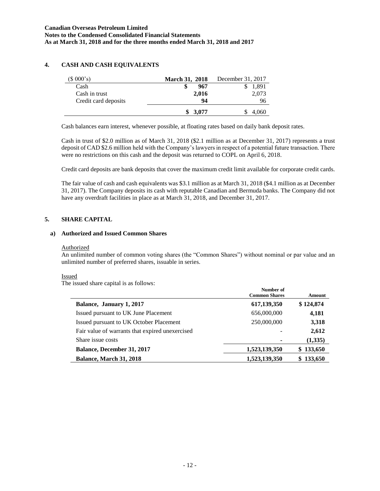# **4. CASH AND CASH EQUIVALENTS**

| $(S\ 000's)$         | <b>March 31, 2018</b> | December 31, 2017 |
|----------------------|-----------------------|-------------------|
| Cash                 | 967<br>S              | 1,891             |
| Cash in trust        | 2,016                 | 2,073             |
| Credit card deposits | 94                    | 96                |
|                      | \$3.077               | 4,060             |

Cash balances earn interest, whenever possible, at floating rates based on daily bank deposit rates.

Cash in trust of \$2.0 million as of March 31, 2018 (\$2.1 million as at December 31, 2017) represents a trust deposit of CAD \$2.6 million held with the Company's lawyers in respect of a potential future transaction. There were no restrictions on this cash and the deposit was returned to COPL on April 6, 2018.

Credit card deposits are bank deposits that cover the maximum credit limit available for corporate credit cards.

The fair value of cash and cash equivalents was \$3.1 million as at March 31, 2018 (\$4.1 million as at December 31, 2017). The Company deposits its cash with reputable Canadian and Bermuda banks. The Company did not have any overdraft facilities in place as at March 31, 2018, and December 31, 2017.

# **5. SHARE CAPITAL**

### **a) Authorized and Issued Common Shares**

#### Authorized

An unlimited number of common voting shares (the "Common Shares") without nominal or par value and an unlimited number of preferred shares, issuable in series.

**Number of**

### Issued

The issued share capital is as follows:

|                                                 | танност от<br><b>Common Shares</b> | Amount    |
|-------------------------------------------------|------------------------------------|-----------|
| Balance, January 1, 2017                        | 617,139,350                        | \$124,874 |
| Issued pursuant to UK June Placement            | 656,000,000                        | 4,181     |
| Issued pursuant to UK October Placement         | 250,000,000                        | 3,318     |
| Fair value of warrants that expired unexercised |                                    | 2,612     |
| Share issue costs                               |                                    | (1,335)   |
| Balance, December 31, 2017                      | 1,523,139,350                      | \$133,650 |
| <b>Balance, March 31, 2018</b>                  | 1,523,139,350                      | \$133,650 |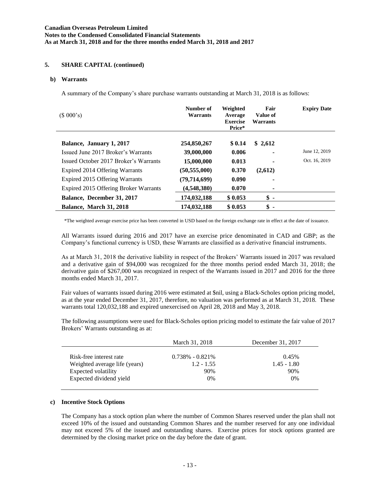## **5. SHARE CAPITAL (continued)**

#### **b) Warrants**

A summary of the Company's share purchase warrants outstanding at March 31, 2018 is as follows:

| (\$000's)                             | Number of<br>Warrants | Weighted<br>Average<br><b>Exercise</b><br>Price* | Fair<br>Value of<br>Warrants | <b>Expiry Date</b> |
|---------------------------------------|-----------------------|--------------------------------------------------|------------------------------|--------------------|
| Balance, January 1, 2017              | 254,850,267           | \$0.14                                           | \$2,612                      |                    |
| Issued June 2017 Broker's Warrants    | 39,000,000            | 0.006                                            |                              | June 12, 2019      |
| Issued October 2017 Broker's Warrants | 15,000,000            | 0.013                                            |                              | Oct. 16, 2019      |
| Expired 2014 Offering Warrants        | (50, 555, 000)        | 0.370                                            | (2,612)                      |                    |
| Expired 2015 Offering Warrants        | (79, 714, 699)        | 0.090                                            |                              |                    |
| Expired 2015 Offering Broker Warrants | (4,548,380)           | 0.070                                            | ۰                            |                    |
| Balance, December 31, 2017            | 174,032,188           | \$0.053                                          | $\hat{\mathbf{s}}$ -         |                    |
| Balance, March 31, 2018               | 174,032,188           | \$0.053                                          | \$<br>$\blacksquare$         |                    |

\*The weighted average exercise price has been converted in USD based on the foreign exchange rate in effect at the date of issuance.

All Warrants issued during 2016 and 2017 have an exercise price denominated in CAD and GBP; as the Company's functional currency is USD, these Warrants are classified as a derivative financial instruments.

As at March 31, 2018 the derivative liability in respect of the Brokers' Warrants issued in 2017 was revalued and a derivative gain of \$94,000 was recognized for the three months period ended March 31, 2018; the derivative gain of \$267,000 was recognized in respect of the Warrants issued in 2017 and 2016 for the three months ended March 31, 2017.

Fair values of warrants issued during 2016 were estimated at \$nil, using a Black-Scholes option pricing model, as at the year ended December 31, 2017, therefore, no valuation was performed as at March 31, 2018. These warrants total 120,032,188 and expired unexercised on April 28, 2018 and May 3, 2018.

The following assumptions were used for Black-Scholes option pricing model to estimate the fair value of 2017 Brokers' Warrants outstanding as at:

|                               | March 31, 2018      | December 31, 2017 |
|-------------------------------|---------------------|-------------------|
| Risk-free interest rate       | $0.738\% - 0.821\%$ | 0.45%             |
| Weighted average life (years) | $1.2 - 1.55$        | $1.45 - 1.80$     |
| Expected volatility           | 90%                 | 90%               |
| Expected dividend yield       | $0\%$               | $0\%$             |

### **c) Incentive Stock Options**

The Company has a stock option plan where the number of Common Shares reserved under the plan shall not exceed 10% of the issued and outstanding Common Shares and the number reserved for any one individual may not exceed 5% of the issued and outstanding shares. Exercise prices for stock options granted are determined by the closing market price on the day before the date of grant.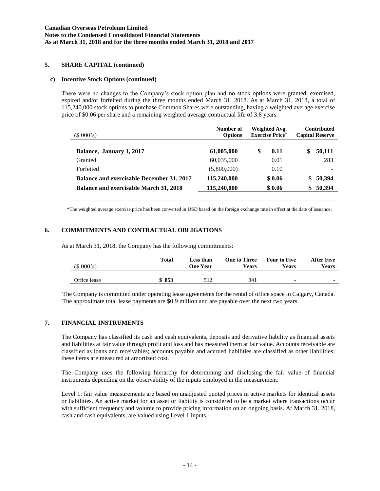### **5. SHARE CAPITAL (continued)**

#### **c) Incentive Stock Options (continued)**

There were no changes to the Company's stock option plan and no stock options were granted, exercised, expired and/or forfeited during the three months ended March 31, 2018. As at March 31, 2018, a total of 115,240,000 stock options to purchase Common Shares were outstanding, having a weighted average exercise price of \$0.06 per share and a remaining weighted average contractual life of 3.8 years.

| (\$000's)                                        | Number of<br><b>Options</b> | Weighted Avg.<br><b>Exercise Price*</b> | <b>Contributed</b><br><b>Capital Reserve</b> |  |
|--------------------------------------------------|-----------------------------|-----------------------------------------|----------------------------------------------|--|
| Balance, January 1, 2017                         | 61,005,000                  | S<br>0.11                               | S<br>50,111                                  |  |
| Granted                                          | 60,035,000                  | 0.01                                    | 283                                          |  |
| Forfeited                                        | (5,800,000)                 | 0.10                                    |                                              |  |
| <b>Balance and exercisable December 31, 2017</b> | 115,240,000                 | \$0.06                                  | 50,394                                       |  |
| <b>Balance and exercisable March 31, 2018</b>    | 115,240,000                 | \$0.06                                  | 50,394                                       |  |

\*The weighted average exercise price has been converted in USD based on the foreign exchange rate in effect at the date of issuance.

### **6. COMMITMENTS AND CONTRACTUAL OBLIGATIONS**

As at March 31, 2018, the Company has the following commitments:

| (\$000's)    | Total | Less than<br><b>One Year</b> | <b>One to Three</b><br>Years | <b>Four to Five</b><br>Years | <b>After Five</b><br>Years |
|--------------|-------|------------------------------|------------------------------|------------------------------|----------------------------|
| Office lease | \$853 | 512                          | 341                          | $\overline{\phantom{0}}$     | $\overline{\phantom{0}}$   |

The Company is committed under operating lease agreements for the rental of office space in Calgary, Canada. The approximate total lease payments are \$0.9 million and are payable over the next two years.

#### **7. FINANCIAL INSTRUMENTS**

The Company has classified its cash and cash equivalents, deposits and derivative liability as financial assets and liabilities at fair value through profit and loss and has measured them at fair value. Accounts receivable are classified as loans and receivables; accounts payable and accrued liabilities are classified as other liabilities; these items are measured at amortized cost.

The Company uses the following hierarchy for determining and disclosing the fair value of financial instruments depending on the observability of the inputs employed in the measurement:

Level 1: fair value measurements are based on unadjusted quoted prices in active markets for identical assets or liabilities. An active market for an asset or liability is considered to be a market where transactions occur with sufficient frequency and volume to provide pricing information on an ongoing basis. At March 31, 2018, cash and cash equivalents, are valued using Level 1 inputs.